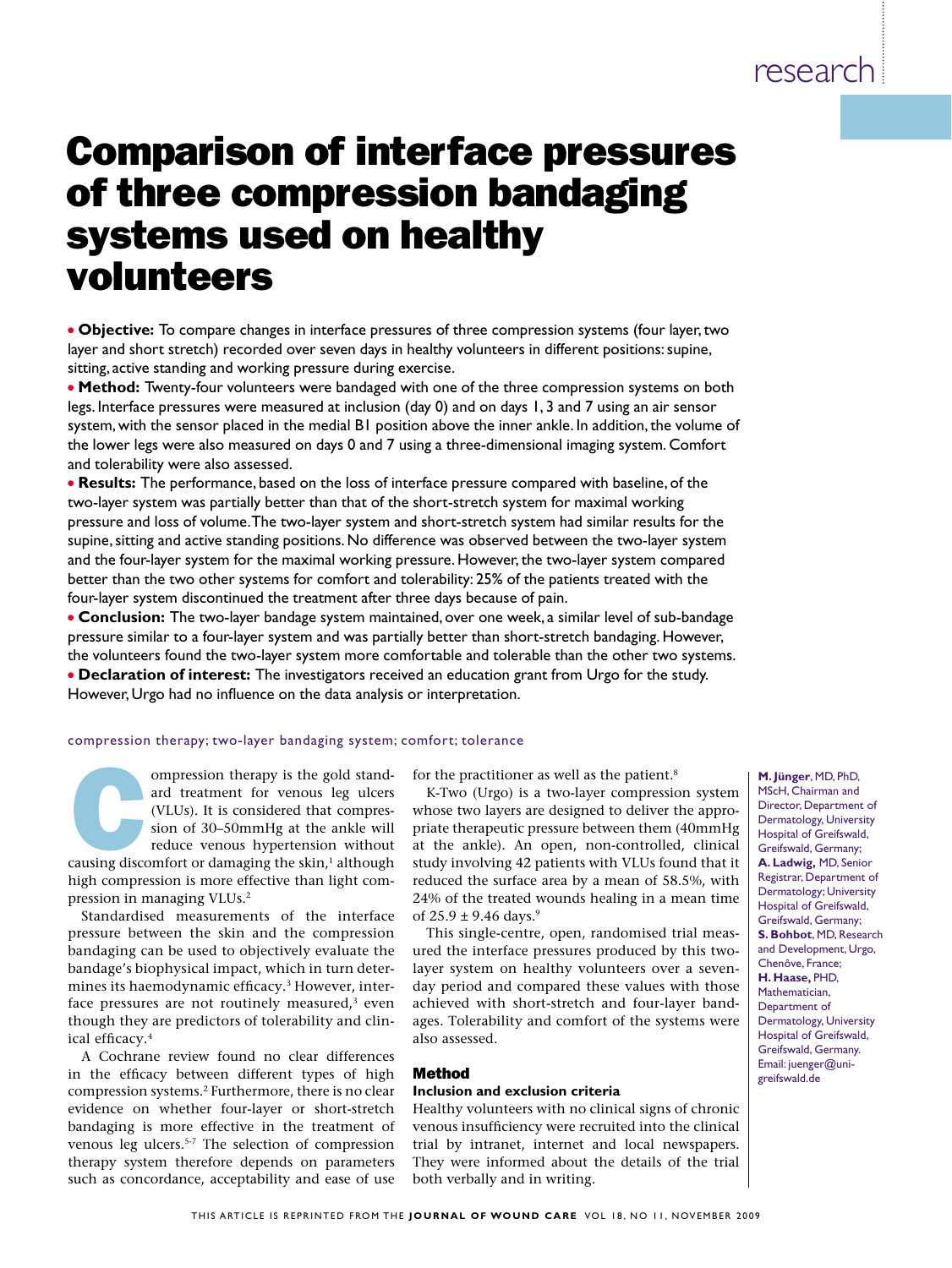# Comparison of interface pressures of three compression bandaging systems used on healthy volunteers

**. Objective:** To compare changes in interface pressures of three compression systems (four layer, two layer and short stretch) recorded over seven days in healthy volunteers in different positions: supine, sitting, active standing and working pressure during exercise.

<sup>l</sup> **Method:** Twenty-four volunteers were bandaged with one of the three compression systems on both legs. Interface pressures were measured at inclusion (day 0) and on days 1, 3 and 7 using an air sensor system, with the sensor placed in the medial B1 position above the inner ankle. In addition, the volume of the lower legs were also measured on days 0 and 7 using a three-dimensional imaging system. Comfort and tolerability were also assessed.

<sup>l</sup> **Results:** The performance, based on the loss of interface pressure compared with baseline, of the two-layer system was partially better than that of the short-stretch system for maximal working pressure and loss of volume. The two-layer system and short-stretch system had similar results for the supine, sitting and active standing positions. No difference was observed between the two-layer system and the four-layer system for the maximal working pressure. However, the two-layer system compared better than the two other systems for comfort and tolerability: 25% of the patients treated with the four-layer system discontinued the treatment after three days because of pain.

**Conclusion:** The two-layer bandage system maintained, over one week, a similar level of sub-bandage pressure similar to a four-layer system and was partially better than short-stretch bandaging. However, the volunteers found the two-layer system more comfortable and tolerable than the other two systems.

<sup>l</sup> **Declaration of interest:** The investigators received an education grant from Urgo for the study. However, Urgo had no influence on the data analysis or interpretation.

compression therapy; two-layer bandaging system; comfort; tolerance

ompression therapy is the gold stand-<br>ard treatment for venous leg ulcers<br>(VLUs). It is considered that compres-<br>sion of 30–50mmHg at the ankle will<br>reduce venous hypertension without<br>causing discomfort or damaging the ski ard treatment for venous leg ulcers (VLUs). It is considered that compression of 30–50mmHg at the ankle will reduce venous hypertension without high compression is more effective than light compression in managing VLUs.2

Standardised measurements of the interface pressure between the skin and the compression bandaging can be used to objectively evaluate the bandage's biophysical impact, which in turn determines its haemodynamic efficacy.3 However, interface pressures are not routinely measured, $3$  even though they are predictors of tolerability and clinical efficacy.4

A Cochrane review found no clear differences in the efficacy between different types of high compression systems.2 Furthermore, there is no clear evidence on whether four-layer or short-stretch bandaging is more effective in the treatment of venous leg ulcers.5-7 The selection of compression therapy system therefore depends on parameters such as concordance, acceptability and ease of use for the practitioner as well as the patient.<sup>8</sup>

K-Two (Urgo) is a two-layer compression system whose two layers are designed to deliver the appropriate therapeutic pressure between them (40mmHg at the ankle). An open, non-controlled, clinical study involving 42 patients with VLUs found that it reduced the surface area by a mean of 58.5%, with 24% of the treated wounds healing in a mean time of  $25.9 \pm 9.46$  days.<sup>9</sup>

This single-centre, open, randomised trial measured the interface pressures produced by this twolayer system on healthy volunteers over a sevenday period and compared these values with those achieved with short-stretch and four-layer bandages. Tolerability and comfort of the systems were also assessed.

### Method

### **Inclusion and exclusion criteria**

Healthy volunteers with no clinical signs of chronic venous insufficiency were recruited into the clinical trial by intranet, internet and local newspapers. They were informed about the details of the trial both verbally and in writing.

#### **M. Jünger**, MD, PhD, MScH, Chairman and Director, Department of Dermatology, University Hospital of Greifswald, Greifswald, Germany; **A. Ladwig,** MD, Senior Registrar, Department of Dermatology; University Hospital of Greifswald, Greifswald, Germany; **S. Bohbot**, MD, Research and Development, Urgo, Chenôve, France; **H. Haase,** PHD, Mathematician, Department of Dermatology, University Hospital of Greifswald, Greifswald, Germany. Email: juenger@unigreifswald.de

research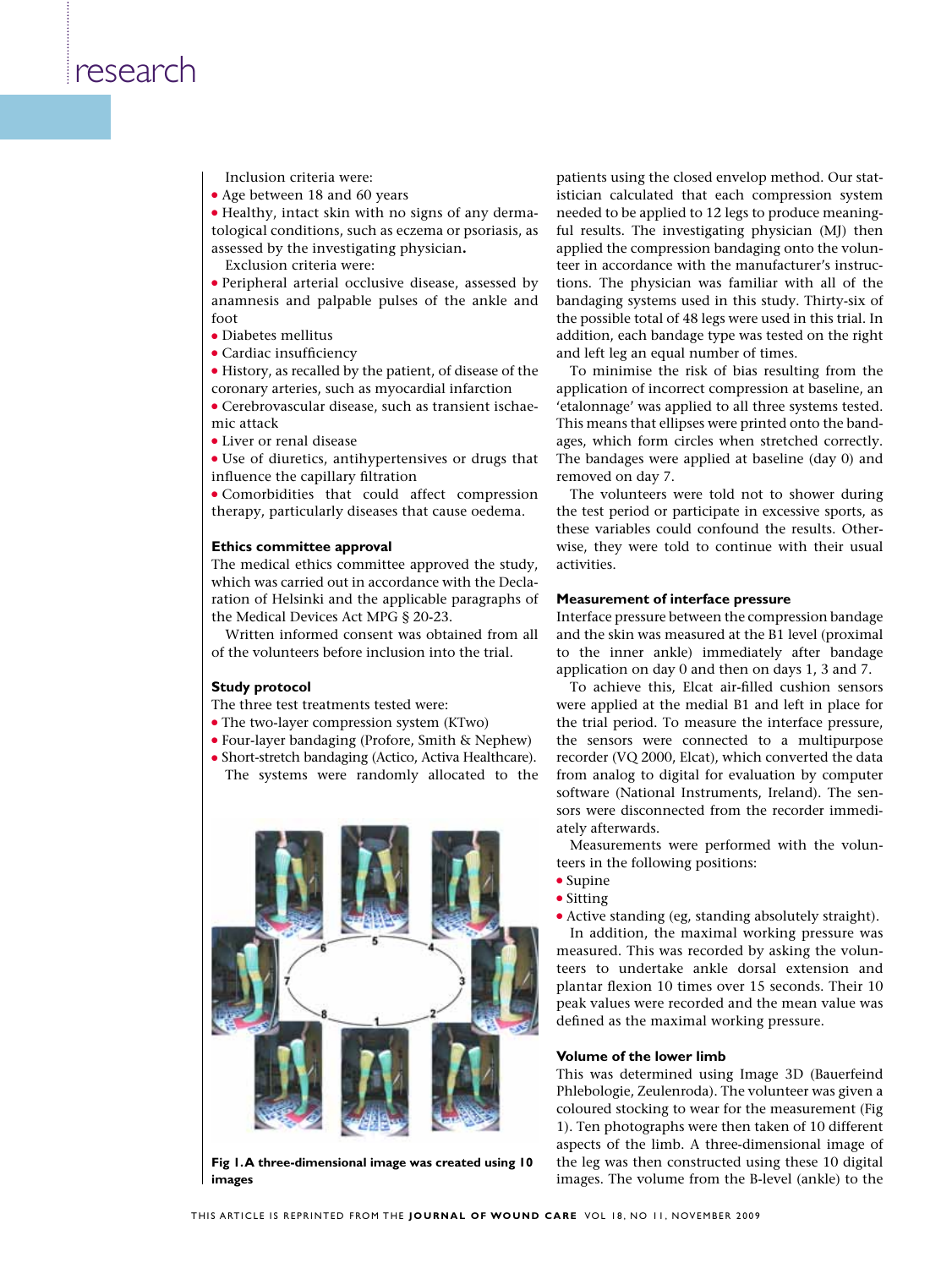Inclusion criteria were:

• Age between 18 and 60 years

 $\bullet$  Healthy, intact skin with no signs of any dermatological conditions, such as eczema or psoriasis, as assessed by the investigating physician**.**

Exclusion criteria were:

• Peripheral arterial occlusive disease, assessed by anamnesis and palpable pulses of the ankle and foot

- Diabetes mellitus
- Cardiac insufficiency

<sup>l</sup> History, as recalled by the patient, of disease of the coronary arteries, such as myocardial infarction

• Cerebrovascular disease, such as transient ischaemic attack

• Liver or renal disease

• Use of diuretics, antihypertensives or drugs that influence the capillary filtration

<sup>l</sup> Comorbidities that could affect compression therapy, particularly diseases that cause oedema.

### **Ethics committee approval**

The medical ethics committee approved the study, which was carried out in accordance with the Declaration of Helsinki and the applicable paragraphs of the Medical Devices Act MPG § 20-23.

Written informed consent was obtained from all of the volunteers before inclusion into the trial.

## **Study protocol**

- The three test treatments tested were:
- $\bullet$  The two-layer compression system (KTwo)
- <sup>l</sup> Four-layer bandaging (Profore, Smith & Nephew)
- Short-stretch bandaging (Actico, Activa Healthcare). The systems were randomly allocated to the



**Fig 1. A three-dimensional image was created using 10 images** 

patients using the closed envelop method. Our statistician calculated that each compression system needed to be applied to 12 legs to produce meaningful results. The investigating physician (MJ) then applied the compression bandaging onto the volunteer in accordance with the manufacturer's instructions. The physician was familiar with all of the bandaging systems used in this study. Thirty-six of the possible total of 48 legs were used in this trial. In addition, each bandage type was tested on the right and left leg an equal number of times.

To minimise the risk of bias resulting from the application of incorrect compression at baseline, an 'etalonnage' was applied to all three systems tested. This means that ellipses were printed onto the bandages, which form circles when stretched correctly. The bandages were applied at baseline (day 0) and removed on day 7.

The volunteers were told not to shower during the test period or participate in excessive sports, as these variables could confound the results. Otherwise, they were told to continue with their usual activities.

## **Measurement of interface pressure**

Interface pressure between the compression bandage and the skin was measured at the B1 level (proximal to the inner ankle) immediately after bandage application on day 0 and then on days 1, 3 and 7.

To achieve this, Elcat air-filled cushion sensors were applied at the medial B1 and left in place for the trial period. To measure the interface pressure, the sensors were connected to a multipurpose recorder (VQ 2000, Elcat), which converted the data from analog to digital for evaluation by computer software (National Instruments, Ireland). The sensors were disconnected from the recorder immediately afterwards.

Measurements were performed with the volunteers in the following positions:

- $\bullet$  Supine
- $\bullet$  Sitting
- Active standing (eg, standing absolutely straight).

In addition, the maximal working pressure was measured. This was recorded by asking the volunteers to undertake ankle dorsal extension and plantar flexion 10 times over 15 seconds. Their 10 peak values were recorded and the mean value was defined as the maximal working pressure.

### **Volume of the lower limb**

This was determined using Image 3D (Bauerfeind Phlebologie, Zeulenroda). The volunteer was given a coloured stocking to wear for the measurement (Fig 1). Ten photographs were then taken of 10 different aspects of the limb. A three-dimensional image of the leg was then constructed using these 10 digital images. The volume from the B-level (ankle) to the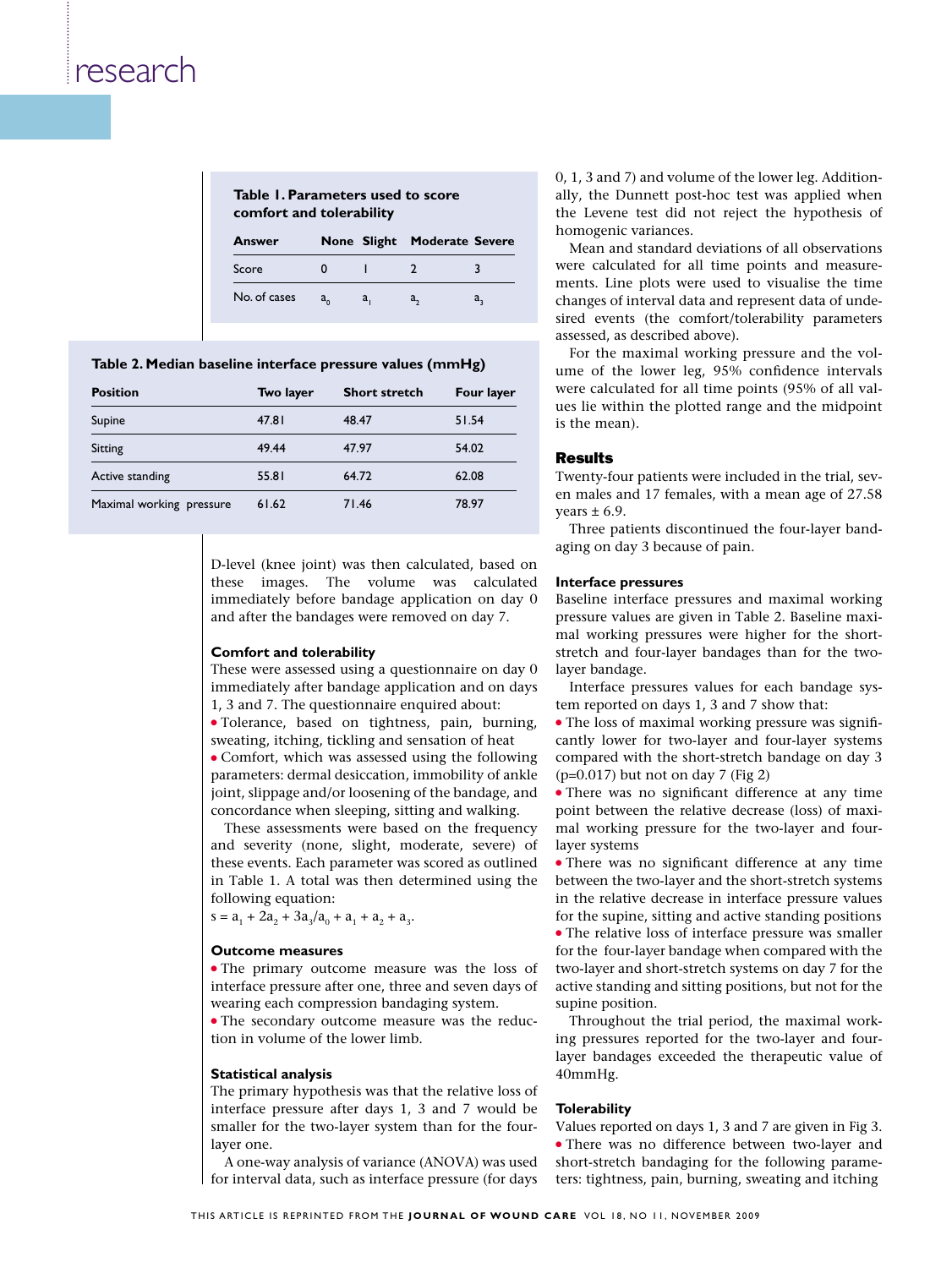**Table 1. Parameters used to score comfort and tolerability**

|  | <b>Answer</b> |              |    | None Slight Moderate Severe |    |
|--|---------------|--------------|----|-----------------------------|----|
|  | Score         | $\mathbf{u}$ |    |                             |    |
|  | No. of cases  | $a_{\alpha}$ | a, | a,                          | a, |

**Table 2. Median baseline interface pressure values (mmHg)**

| <b>Position</b>          | Two layer | <b>Short stretch</b> | <b>Four layer</b> |
|--------------------------|-----------|----------------------|-------------------|
| Supine                   | 47.81     | 48.47                | 51.54             |
| Sitting                  | 49.44     | 47.97                | 54.02             |
| Active standing          | 55.81     | 64.72                | 62.08             |
| Maximal working pressure | 61.62     | 71.46                | 78.97             |

D-level (knee joint) was then calculated, based on these images. The volume was calculated immediately before bandage application on day 0 and after the bandages were removed on day 7.

#### **Comfort and tolerability**

These were assessed using a questionnaire on day 0 immediately after bandage application and on days 1, 3 and 7. The questionnaire enquired about:

• Tolerance, based on tightness, pain, burning, sweating, itching, tickling and sensation of heat

• Comfort, which was assessed using the following parameters: dermal desiccation, immobility of ankle joint, slippage and/or loosening of the bandage, and concordance when sleeping, sitting and walking.

These assessments were based on the frequency and severity (none, slight, moderate, severe) of these events. Each parameter was scored as outlined in Table 1. A total was then determined using the following equation:

 $s = a_1 + 2a_2 + 3a_3/a_0 + a_1 + a_2 + a_3.$ 

## **Outcome measures**

• The primary outcome measure was the loss of interface pressure after one, three and seven days of wearing each compression bandaging system.

• The secondary outcome measure was the reduction in volume of the lower limb.

### **Statistical analysis**

The primary hypothesis was that the relative loss of interface pressure after days 1, 3 and 7 would be smaller for the two-layer system than for the fourlayer one.

A one-way analysis of variance (ANOVA) was used for interval data, such as interface pressure (for days 0, 1, 3 and 7) and volume of the lower leg. Additionally, the Dunnett post-hoc test was applied when the Levene test did not reject the hypothesis of homogenic variances.

Mean and standard deviations of all observations were calculated for all time points and measurements. Line plots were used to visualise the time changes of interval data and represent data of undesired events (the comfort/tolerability parameters assessed, as described above).

For the maximal working pressure and the volume of the lower leg, 95% confidence intervals were calculated for all time points (95% of all values lie within the plotted range and the midpoint is the mean).

## Results

Twenty-four patients were included in the trial, seven males and 17 females, with a mean age of 27.58 years  $\pm$  6.9.

Three patients discontinued the four-layer bandaging on day 3 because of pain.

### **Interface pressures**

Baseline interface pressures and maximal working pressure values are given in Table 2. Baseline maximal working pressures were higher for the shortstretch and four-layer bandages than for the twolayer bandage.

Interface pressures values for each bandage system reported on days 1, 3 and 7 show that:

 $\bullet$  The loss of maximal working pressure was significantly lower for two-layer and four-layer systems compared with the short-stretch bandage on day 3  $(p=0.017)$  but not on day 7 (Fig 2)

• There was no significant difference at any time point between the relative decrease (loss) of maximal working pressure for the two-layer and fourlayer systems

• There was no significant difference at any time between the two-layer and the short-stretch systems in the relative decrease in interface pressure values for the supine, sitting and active standing positions

• The relative loss of interface pressure was smaller for the four-layer bandage when compared with the two-layer and short-stretch systems on day 7 for the active standing and sitting positions, but not for the supine position.

Throughout the trial period, the maximal working pressures reported for the two-layer and fourlayer bandages exceeded the therapeutic value of 40mmHg.

### **Tolerability**

Values reported on days 1, 3 and 7 are given in Fig 3. • There was no difference between two-layer and short-stretch bandaging for the following parameters: tightness, pain, burning, sweating and itching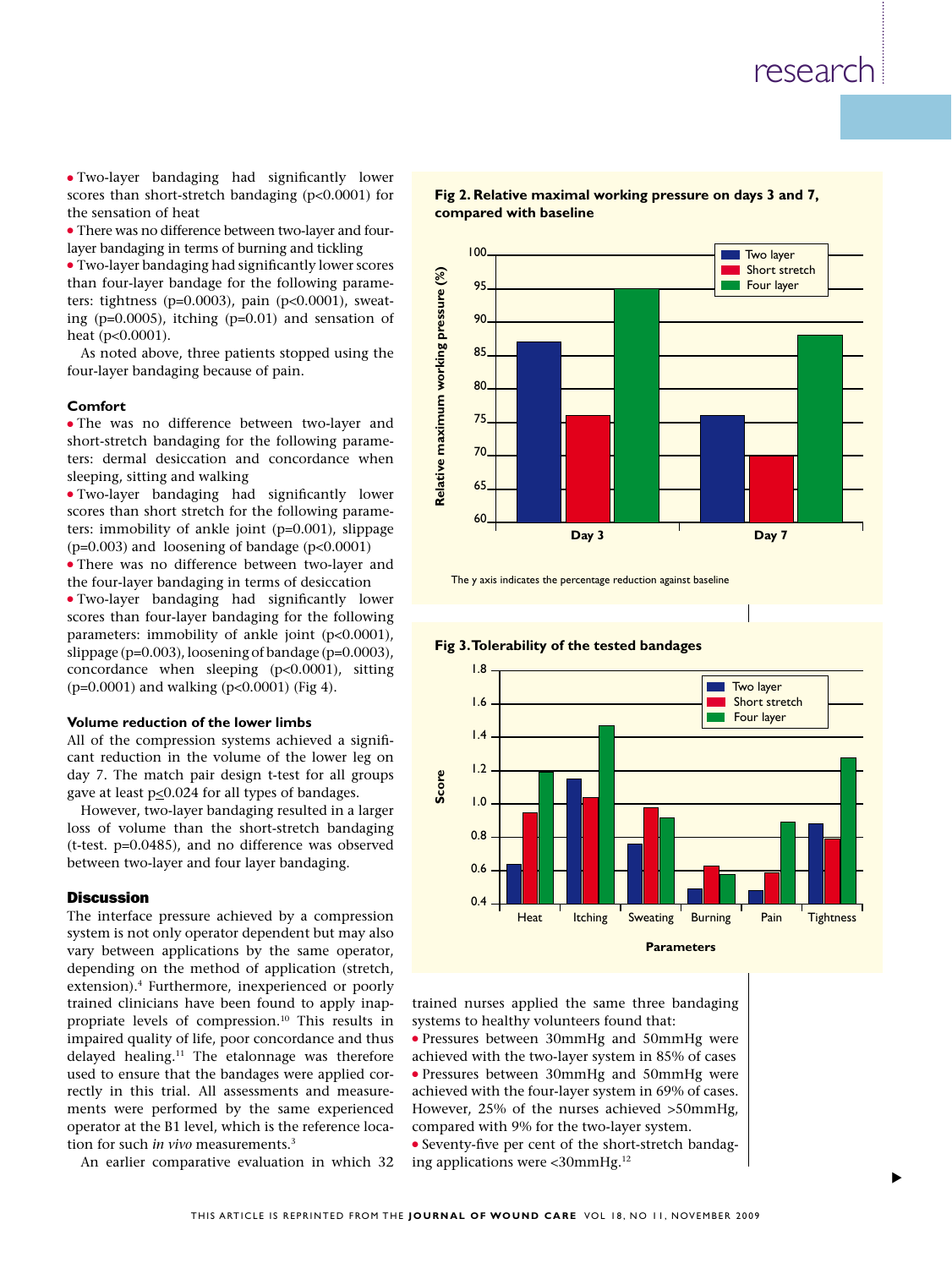s

• Two-layer bandaging had significantly lower scores than short-stretch bandaging (p<0.0001) for the sensation of heat

• There was no difference between two-layer and fourlayer bandaging in terms of burning and tickling

• Two-layer bandaging had significantly lower scores than four-layer bandage for the following parameters: tightness (p=0.0003), pain (p<0.0001), sweating ( $p=0.0005$ ), itching ( $p=0.01$ ) and sensation of heat (p<0.0001).

As noted above, three patients stopped using the four-layer bandaging because of pain.

## **Comfort**

• The was no difference between two-layer and short-stretch bandaging for the following parameters: dermal desiccation and concordance when sleeping, sitting and walking

<sup>l</sup> Two-layer bandaging had significantly lower scores than short stretch for the following parameters: immobility of ankle joint (p=0.001), slippage  $(p=0.003)$  and loosening of bandage  $(p<0.0001)$ 

• There was no difference between two-layer and the four-layer bandaging in terms of desiccation

<sup>l</sup> Two-layer bandaging had significantly lower scores than four-layer bandaging for the following parameters: immobility of ankle joint (p<0.0001), slippage (p=0.003), loosening of bandage (p=0.0003), concordance when sleeping (p<0.0001), sitting  $(p=0.0001)$  and walking  $(p<0.0001)$  (Fig 4).

#### **Volume reduction of the lower limbs**

All of the compression systems achieved a significant reduction in the volume of the lower leg on day 7. The match pair design t-test for all groups gave at least  $p \le 0.024$  for all types of bandages.

However, two-layer bandaging resulted in a larger loss of volume than the short-stretch bandaging (t-test. p=0.0485), and no difference was observed between two-layer and four layer bandaging.

## Discussion

The interface pressure achieved by a compression system is not only operator dependent but may also vary between applications by the same operator, depending on the method of application (stretch, extension).4 Furthermore, inexperienced or poorly trained clinicians have been found to apply inappropriate levels of compression.10 This results in impaired quality of life, poor concordance and thus delayed healing.<sup>11</sup> The etalonnage was therefore used to ensure that the bandages were applied correctly in this trial. All assessments and measurements were performed by the same experienced operator at the B1 level, which is the reference location for such *in vivo* measurements.3

An earlier comparative evaluation in which 32

100 Two layer Short stretch Relative maximum working pressure (%) **Relative maximum working pressure (%)** 95 Four layer 90 85 80 75 70 65 60 **Day 3 Day 7**

## **Fig 2. Relative maximal working pressure on days 3 and 7, compared with baseline**

The y axis indicates the percentage reduction against baseline

**Fig 3. Tolerability of the tested bandages**



trained nurses applied the same three bandaging systems to healthy volunteers found that:

• Pressures between 30mmHg and 50mmHg were achieved with the two-layer system in 85% of cases <sup>l</sup> Pressures between 30mmHg and 50mmHg were achieved with the four-layer system in 69% of cases. However, 25% of the nurses achieved >50mmHg, compared with 9% for the two-layer system.

• Seventy-five per cent of the short-stretch bandag-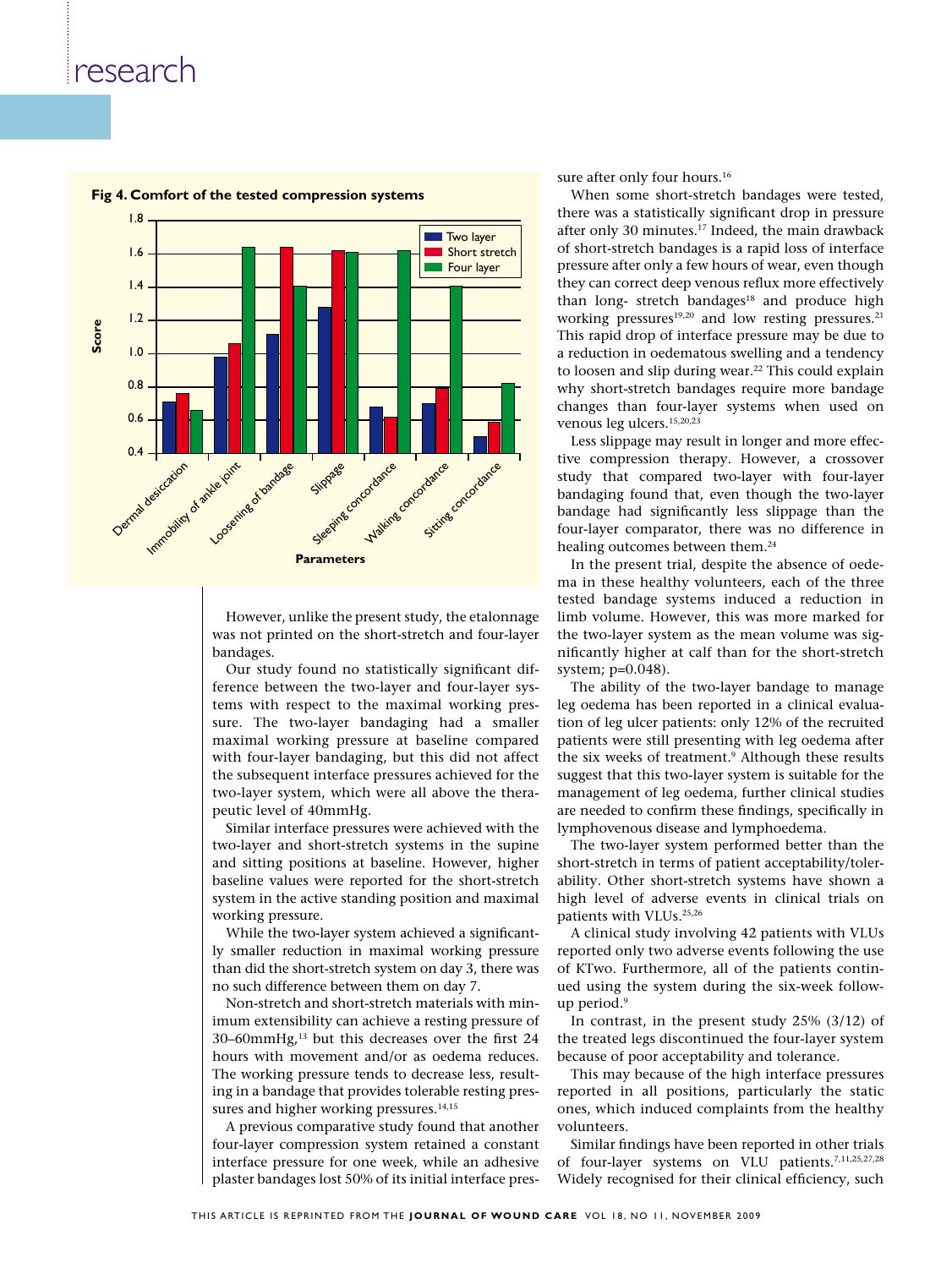**Score** 1.8 1.6 1.4 1.2 1.0 0.8 0.6 0.4 **Parameters Two layer** Short stretch **Four layer** Dermal desication of ande joint Loosening of bandages Sleeping concordance Walking concordance Sitting concordance

**Fig 4. Comfort of the tested compression systems**

However, unlike the present study, the etalonnage was not printed on the short-stretch and four-layer bandages.

Our study found no statistically significant difference between the two-layer and four-layer systems with respect to the maximal working pressure. The two-layer bandaging had a smaller maximal working pressure at baseline compared with four-layer bandaging, but this did not affect the subsequent interface pressures achieved for the two-layer system, which were all above the therapeutic level of 40mmHg.

Similar interface pressures were achieved with the two-layer and short-stretch systems in the supine and sitting positions at baseline. However, higher baseline values were reported for the short-stretch system in the active standing position and maximal working pressure.

While the two-layer system achieved a significantly smaller reduction in maximal working pressure than did the short-stretch system on day 3, there was no such difference between them on day 7.

Non-stretch and short-stretch materials with minimum extensibility can achieve a resting pressure of 30–60mmHg,13 but this decreases over the first 24 hours with movement and/or as oedema reduces. The working pressure tends to decrease less, resulting in a bandage that provides tolerable resting pressures and higher working pressures.<sup>14,15</sup>

A previous comparative study found that another four-layer compression system retained a constant interface pressure for one week, while an adhesive plaster bandages lost 50% of its initial interface pressure after only four hours.<sup>16</sup>

When some short-stretch bandages were tested, there was a statistically significant drop in pressure after only 30 minutes.17 Indeed, the main drawback of short-stretch bandages is a rapid loss of interface pressure after only a few hours of wear, even though they can correct deep venous reflux more effectively than long- stretch bandages<sup>18</sup> and produce high working pressures<sup>19,20</sup> and low resting pressures.<sup>21</sup> This rapid drop of interface pressure may be due to a reduction in oedematous swelling and a tendency to loosen and slip during wear.<sup>22</sup> This could explain why short-stretch bandages require more bandage changes than four-layer systems when used on venous leg ulcers.<sup>15,20,23</sup>

Less slippage may result in longer and more effective compression therapy. However, a crossover study that compared two-layer with four-layer bandaging found that, even though the two-layer bandage had significantly less slippage than the four-layer comparator, there was no difference in healing outcomes between them.<sup>24</sup>

In the present trial, despite the absence of oedema in these healthy volunteers, each of the three tested bandage systems induced a reduction in limb volume. However, this was more marked for the two-layer system as the mean volume was significantly higher at calf than for the short-stretch system; p=0.048).

The ability of the two-layer bandage to manage leg oedema has been reported in a clinical evaluation of leg ulcer patients: only 12% of the recruited patients were still presenting with leg oedema after the six weeks of treatment.<sup>9</sup> Although these results suggest that this two-layer system is suitable for the management of leg oedema, further clinical studies are needed to confirm these findings, specifically in lymphovenous disease and lymphoedema.

The two-layer system performed better than the short-stretch in terms of patient acceptability/tolerability. Other short-stretch systems have shown a high level of adverse events in clinical trials on patients with VLUs.<sup>25,26</sup>

A clinical study involving 42 patients with VLUs reported only two adverse events following the use of KTwo. Furthermore, all of the patients continued using the system during the six-week followup period.<sup>9</sup>

In contrast, in the present study 25% (3/12) of the treated legs discontinued the four-layer system because of poor acceptability and tolerance.

This may because of the high interface pressures reported in all positions, particularly the static ones, which induced complaints from the healthy volunteers.

Similar findings have been reported in other trials of four-layer systems on VLU patients.7,11,25,27,28 Widely recognised for their clinical efficiency, such